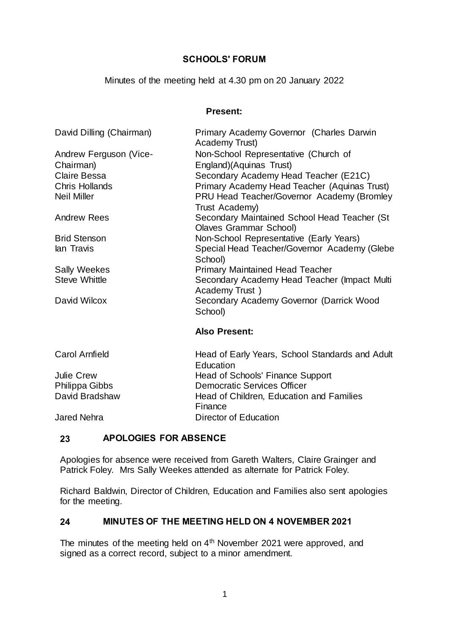# **SCHOOLS' FORUM**

Minutes of the meeting held at 4.30 pm on 20 January 2022

#### **Present:**

| David Dilling (Chairman) | Primary Academy Governor (Charles Darwin<br>Academy Trust)             |  |  |  |  |
|--------------------------|------------------------------------------------------------------------|--|--|--|--|
| Andrew Ferguson (Vice-   | Non-School Representative (Church of                                   |  |  |  |  |
| Chairman)                | England)(Aquinas Trust)                                                |  |  |  |  |
| <b>Claire Bessa</b>      | Secondary Academy Head Teacher (E21C)                                  |  |  |  |  |
| <b>Chris Hollands</b>    | Primary Academy Head Teacher (Aquinas Trust)                           |  |  |  |  |
| <b>Neil Miller</b>       | PRU Head Teacher/Governor Academy (Bromley<br>Trust Academy)           |  |  |  |  |
| <b>Andrew Rees</b>       | Secondary Maintained School Head Teacher (St<br>Olaves Grammar School) |  |  |  |  |
| <b>Brid Stenson</b>      | Non-School Representative (Early Years)                                |  |  |  |  |
| lan Travis               | Special Head Teacher/Governor Academy (Glebe<br>School)                |  |  |  |  |
| <b>Sally Weekes</b>      | <b>Primary Maintained Head Teacher</b>                                 |  |  |  |  |
| <b>Steve Whittle</b>     | Secondary Academy Head Teacher (Impact Multi<br>Academy Trust)         |  |  |  |  |
| David Wilcox             | Secondary Academy Governor (Darrick Wood<br>School)                    |  |  |  |  |
|                          | <b>Also Present:</b>                                                   |  |  |  |  |

| Carol Arnfield | Head of Early Years, School Standards and Adult |  |  |  |
|----------------|-------------------------------------------------|--|--|--|
|                | Education                                       |  |  |  |
| Julie Crew     | Head of Schools' Finance Support                |  |  |  |
| Philippa Gibbs | <b>Democratic Services Officer</b>              |  |  |  |
| David Bradshaw | Head of Children, Education and Families        |  |  |  |
|                | Finance                                         |  |  |  |
| Jared Nehra    | Director of Education                           |  |  |  |
|                |                                                 |  |  |  |

### **23 APOLOGIES FOR ABSENCE**

Apologies for absence were received from Gareth Walters, Claire Grainger and Patrick Foley. Mrs Sally Weekes attended as alternate for Patrick Foley.

Richard Baldwin, Director of Children, Education and Families also sent apologies for the meeting.

# **24 MINUTES OF THE MEETING HELD ON 4 NOVEMBER 2021**

The minutes of the meeting held on 4<sup>th</sup> November 2021 were approved, and signed as a correct record, subject to a minor amendment.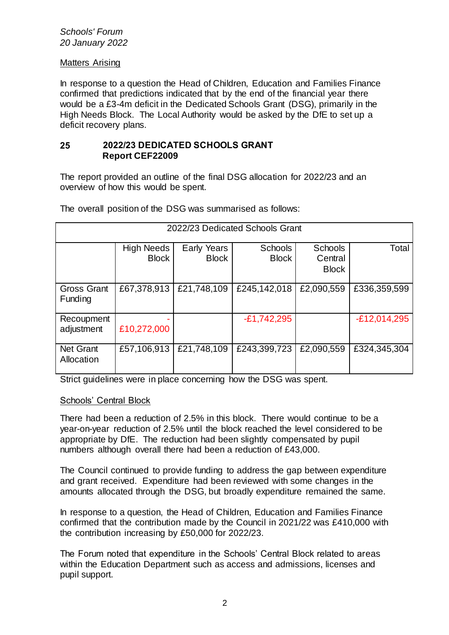#### *Schools' Forum 20 January 2022*

### Matters Arising

In response to a question the Head of Children, Education and Families Finance confirmed that predictions indicated that by the end of the financial year there would be a £3-4m deficit in the Dedicated Schools Grant (DSG), primarily in the High Needs Block. The Local Authority would be asked by the DfE to set up a deficit recovery plans.

### **25 2022/23 DEDICATED SCHOOLS GRANT Report CEF22009**

The report provided an outline of the final DSG allocation for 2022/23 and an overview of how this would be spent.

| 2022/23 Dedicated Schools Grant |                                   |                             |                                |                                           |                |  |  |  |
|---------------------------------|-----------------------------------|-----------------------------|--------------------------------|-------------------------------------------|----------------|--|--|--|
|                                 | <b>High Needs</b><br><b>Block</b> | Early Years<br><b>Block</b> | <b>Schools</b><br><b>Block</b> | <b>Schools</b><br>Central<br><b>Block</b> | Total          |  |  |  |
| <b>Gross Grant</b><br>Funding   | £67,378,913                       | £21,748,109                 | £245,142,018                   | £2,090,559                                | £336,359,599   |  |  |  |
| Recoupment<br>adjustment        | £10,272,000                       |                             | $-E1,742,295$                  |                                           | $-E12,014,295$ |  |  |  |
| <b>Net Grant</b><br>Allocation  | £57,106,913                       | £21,748,109                 | £243,399,723                   | £2,090,559                                | £324,345,304   |  |  |  |

The overall position of the DSG was summarised as follows:

Strict guidelines were in place concerning how the DSG was spent.

### Schools' Central Block

There had been a reduction of 2.5% in this block. There would continue to be a year-on-year reduction of 2.5% until the block reached the level considered to be appropriate by DfE. The reduction had been slightly compensated by pupil numbers although overall there had been a reduction of £43,000.

The Council continued to provide funding to address the gap between expenditure and grant received. Expenditure had been reviewed with some changes in the amounts allocated through the DSG, but broadly expenditure remained the same.

In response to a question, the Head of Children, Education and Families Finance confirmed that the contribution made by the Council in 2021/22 was £410,000 with the contribution increasing by £50,000 for 2022/23.

The Forum noted that expenditure in the Schools' Central Block related to areas within the Education Department such as access and admissions, licenses and pupil support.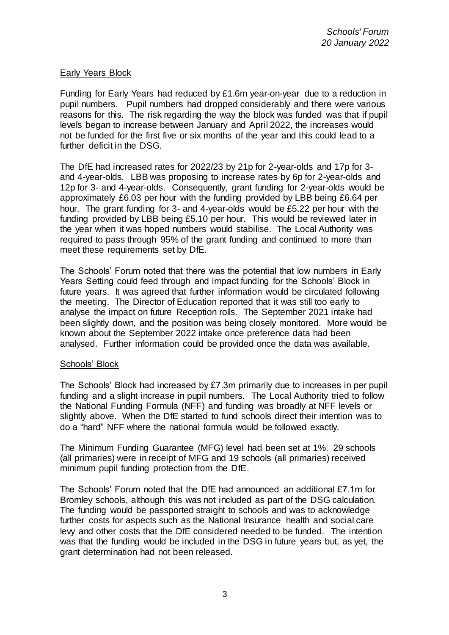## Early Years Block

Funding for Early Years had reduced by £1.6m year-on-year due to a reduction in pupil numbers. Pupil numbers had dropped considerably and there were various reasons for this. The risk regarding the way the block was funded was that if pupil levels began to increase between January and April 2022, the increases would not be funded for the first five or six months of the year and this could lead to a further deficit in the DSG.

The DfE had increased rates for 2022/23 by 21p for 2-year-olds and 17p for 3 and 4-year-olds. LBB was proposing to increase rates by 6p for 2-year-olds and 12p for 3- and 4-year-olds. Consequently, grant funding for 2-year-olds would be approximately £6.03 per hour with the funding provided by LBB being £6.64 per hour. The grant funding for 3- and 4-year-olds would be £5.22 per hour with the funding provided by LBB being £5.10 per hour. This would be reviewed later in the year when it was hoped numbers would stabilise. The Local Authority was required to pass through 95% of the grant funding and continued to more than meet these requirements set by DfE.

The Schools' Forum noted that there was the potential that low numbers in Early Years Setting could feed through and impact funding for the Schools' Block in future years. It was agreed that further information would be circulated following the meeting. The Director of Education reported that it was still too early to analyse the impact on future Reception rolls. The September 2021 intake had been slightly down, and the position was being closely monitored. More would be known about the September 2022 intake once preference data had been analysed. Further information could be provided once the data was available.

### Schools' Block

The Schools' Block had increased by £7.3m primarily due to increases in per pupil funding and a slight increase in pupil numbers. The Local Authority tried to follow the National Funding Formula (NFF) and funding was broadly at NFF levels or slightly above. When the DfE started to fund schools direct their intention was to do a "hard" NFF where the national formula would be followed exactly.

The Minimum Funding Guarantee (MFG) level had been set at 1%. 29 schools (all primaries) were in receipt of MFG and 19 schools (all primaries) received minimum pupil funding protection from the DfE.

The Schools' Forum noted that the DfE had announced an additional £7.1m for Bromley schools, although this was not included as part of the DSG calculation. The funding would be passported straight to schools and was to acknowledge further costs for aspects such as the National Insurance health and social care levy and other costs that the DfE considered needed to be funded. The intention was that the funding would be included in the DSG in future years but, as yet, the grant determination had not been released.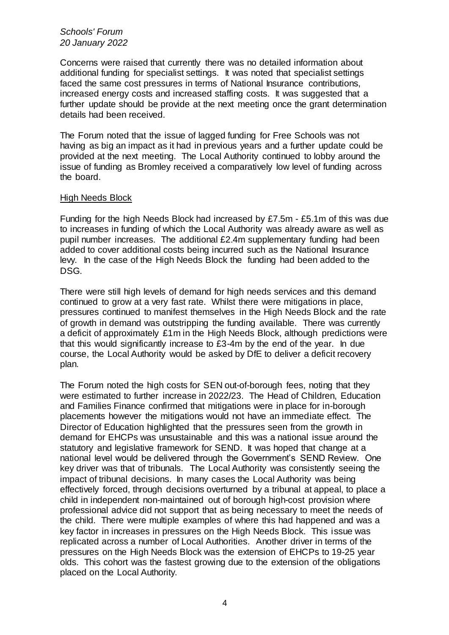#### *Schools' Forum 20 January 2022*

Concerns were raised that currently there was no detailed information about additional funding for specialist settings. It was noted that specialist settings faced the same cost pressures in terms of National Insurance contributions, increased energy costs and increased staffing costs. It was suggested that a further update should be provide at the next meeting once the grant determination details had been received.

The Forum noted that the issue of lagged funding for Free Schools was not having as big an impact as it had in previous years and a further update could be provided at the next meeting. The Local Authority continued to lobby around the issue of funding as Bromley received a comparatively low level of funding across the board.

### High Needs Block

Funding for the high Needs Block had increased by £7.5m - £5.1m of this was due to increases in funding of which the Local Authority was already aware as well as pupil number increases. The additional £2.4m supplementary funding had been added to cover additional costs being incurred such as the National Insurance levy. In the case of the High Needs Block the funding had been added to the DSG.

There were still high levels of demand for high needs services and this demand continued to grow at a very fast rate. Whilst there were mitigations in place, pressures continued to manifest themselves in the High Needs Block and the rate of growth in demand was outstripping the funding available. There was currently a deficit of approximately £1m in the High Needs Block, although predictions were that this would significantly increase to £3-4m by the end of the year. In due course, the Local Authority would be asked by DfE to deliver a deficit recovery plan.

The Forum noted the high costs for SEN out-of-borough fees, noting that they were estimated to further increase in 2022/23. The Head of Children, Education and Families Finance confirmed that mitigations were in place for in-borough placements however the mitigations would not have an immediate effect. The Director of Education highlighted that the pressures seen from the growth in demand for EHCPs was unsustainable and this was a national issue around the statutory and legislative framework for SEND. It was hoped that change at a national level would be delivered through the Government's SEND Review. One key driver was that of tribunals. The Local Authority was consistently seeing the impact of tribunal decisions. In many cases the Local Authority was being effectively forced, through decisions overturned by a tribunal at appeal, to place a child in independent non-maintained out of borough high-cost provision where professional advice did not support that as being necessary to meet the needs of the child. There were multiple examples of where this had happened and was a key factor in increases in pressures on the High Needs Block. This issue was replicated across a number of Local Authorities. Another driver in terms of the pressures on the High Needs Block was the extension of EHCPs to 19-25 year olds. This cohort was the fastest growing due to the extension of the obligations placed on the Local Authority.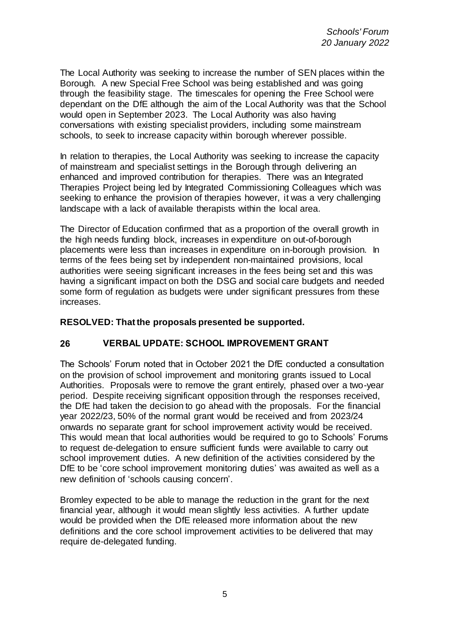The Local Authority was seeking to increase the number of SEN places within the Borough. A new Special Free School was being established and was going through the feasibility stage. The timescales for opening the Free School were dependant on the DfE although the aim of the Local Authority was that the School would open in September 2023. The Local Authority was also having conversations with existing specialist providers, including some mainstream schools, to seek to increase capacity within borough wherever possible.

In relation to therapies, the Local Authority was seeking to increase the capacity of mainstream and specialist settings in the Borough through delivering an enhanced and improved contribution for therapies. There was an Integrated Therapies Project being led by Integrated Commissioning Colleagues which was seeking to enhance the provision of therapies however, it was a very challenging landscape with a lack of available therapists within the local area.

The Director of Education confirmed that as a proportion of the overall growth in the high needs funding block, increases in expenditure on out-of-borough placements were less than increases in expenditure on in-borough provision. In terms of the fees being set by independent non-maintained provisions, local authorities were seeing significant increases in the fees being set and this was having a significant impact on both the DSG and social care budgets and needed some form of regulation as budgets were under significant pressures from these increases.

### **RESOLVED: That the proposals presented be supported.**

### **26 VERBAL UPDATE: SCHOOL IMPROVEMENT GRANT**

The Schools' Forum noted that in October 2021 the DfE conducted a consultation on the provision of school improvement and monitoring grants issued to Local Authorities. Proposals were to remove the grant entirely, phased over a two-year period. Despite receiving significant opposition through the responses received, the DfE had taken the decision to go ahead with the proposals. For the financial year 2022/23, 50% of the normal grant would be received and from 2023/24 onwards no separate grant for school improvement activity would be received. This would mean that local authorities would be required to go to Schools' Forums to request de-delegation to ensure sufficient funds were available to carry out school improvement duties. A new definition of the activities considered by the DfE to be 'core school improvement monitoring duties' was awaited as well as a new definition of 'schools causing concern'.

Bromley expected to be able to manage the reduction in the grant for the next financial year, although it would mean slightly less activities. A further update would be provided when the DfE released more information about the new definitions and the core school improvement activities to be delivered that may require de-delegated funding.